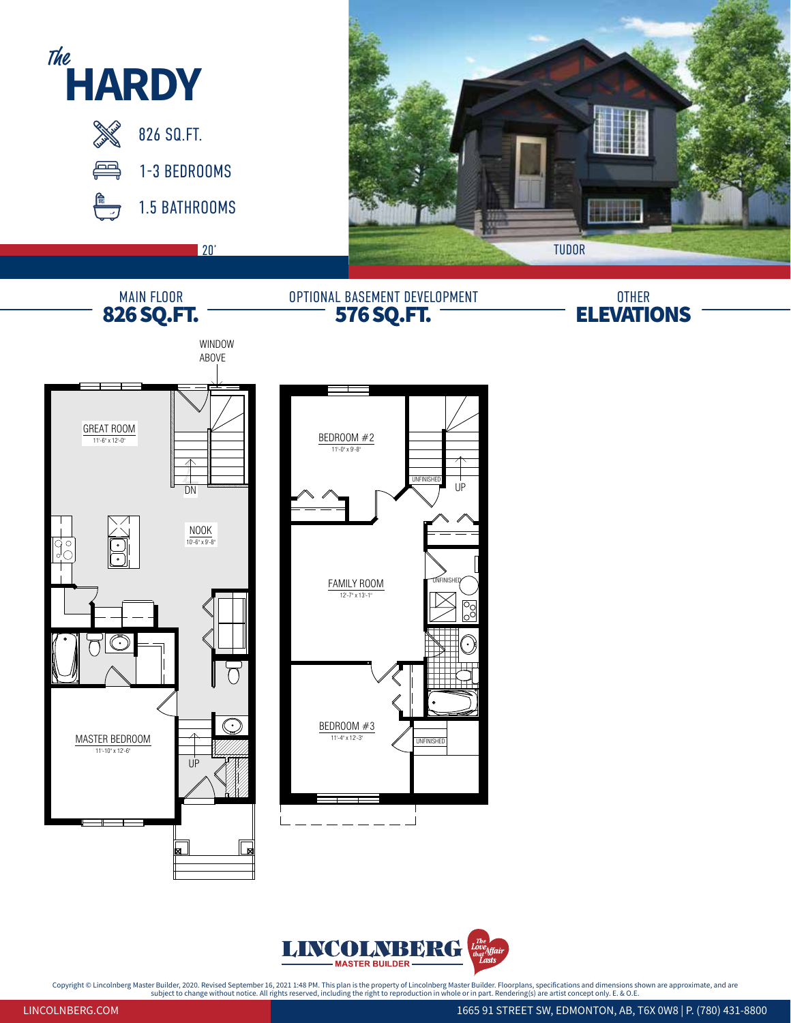



Copyright © Lincolnberg Master Builder, 2020. Revised September 16, 2021 1:48 PM. This plan is the property of Lincolnberg Master Builder. Floorplans, specifications and dimensions shown are approximate, and are<br>- ^ ^ ^ ^